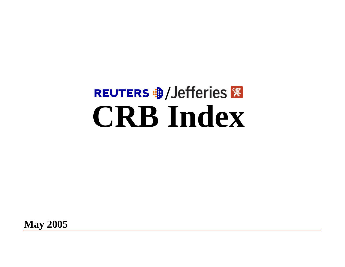# REUTERS **B** / Jefferies **&**<br> **CRB** Index

**May 2005**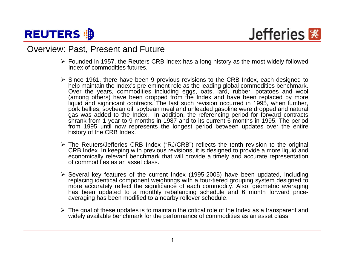

### Overview: Past, Present and Future

- ¾ Founded in 1957, the Reuters CRB Index has a long history as the most widely followed Index of commodities futures.
- ¾ Since 1961, there have been 9 previous revisions to the CRB Index, each designed to help maintain the Index's pre-eminent role as the leading global commodities benchmark. Over the years, commodities including eggs, oats, lard, rubber, potatoes and wool (among others) have been dropped from the Index and have been replaced by more liquid and significant contracts. The last such revision occurred in 1995, when lumber, pork bellies, soybean oil, soybean meal and unleaded gasoline were dropped and natural gas was added to the Index. In addition, the referencing period for forward contracts shrank from 1 year to 9 months in 1987 and to its current 6 months in 1995. The period from 1995 until now represents the longest period between updates over the entire history of the CRB Index.
- ¾ The Reuters/Jefferies CRB Index ("RJ/CRB") reflects the tenth revision to the original CRB Index. In keeping with previous revisions, it is designed to provide a more liquid and economically relevant benchmark that will provide a timely and accurate representation of commodities as an asset class.
- ¾ Several key features of the current Index (1995-2005) have been updated, including replacing identical component weightings with a four-tiered grouping system designed to more accurately reflect the significance of each commodity. Also, geometric averaging has been updated to a monthly rebalancing schedule and 6 month forward priceaveraging has been modified to a nearby rollover schedule.
- $\triangleright$  The goal of these updates is to maintain the critical role of the Index as a transparent and widely available benchmark for the performance of commodities as an asset class.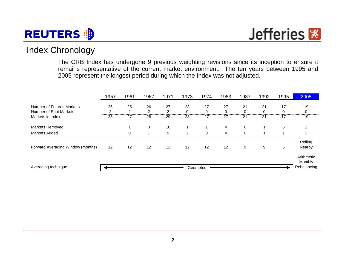## **REUTERS**

Jefferies<sup></sup>

## Index Chronology

The CRB Index has undergone 9 previous weighting revisions since its inception to ensure it remains representative of the current market environment. The ten years between 1995 and 2005 represent the longest period during which the Index was not adjusted.

|                                                     | 1957                 | 1961                 | 1967        | 1971    | 1973           | 1974           | 1983           | 1987    | 1992    | 1995    | 2005                  |
|-----------------------------------------------------|----------------------|----------------------|-------------|---------|----------------|----------------|----------------|---------|---------|---------|-----------------------|
| Number of Futures Markets<br>Number of Spot Markets | 26<br>$\overline{2}$ | 25<br>$\overline{2}$ | 26<br>2     | 27<br>2 | 28<br>0        | 27<br>$\Omega$ | 27<br>0        | 21<br>0 | 21<br>0 | 17<br>0 | 19<br>0               |
| Markets in Index                                    | 28                   | 27                   | 28          | 29      | 28             | 27             | 27             | 21      | 21      | 17      | 19                    |
| <b>Markets Removed</b>                              |                      |                      | 0           | 10      |                |                | 4              | 6       |         | 5       |                       |
| <b>Markets Added</b>                                |                      | 0                    | $\mathbf 1$ | 9       | $\overline{2}$ | $\mathbf 0$    | $\overline{4}$ | 0       |         |         | 3                     |
| Forward Averaging Window (months)                   | 12                   | 12                   | 12          | 12      | 12             | 12             | 12             | 9       | 9       | 6       | Rolling<br>Nearby     |
|                                                     |                      |                      |             |         |                |                |                |         |         |         | Arithmetic<br>Monthly |
| Averaging technique                                 |                      |                      |             |         |                | Geometric      |                |         |         |         | Rebalancing           |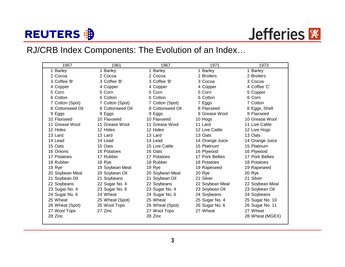# **REUTERS : B**

## RJ/CRB Index Components: The Evolution of an Index…

| 1957             | 1961             | 1967             | 1971            | 1973            |
|------------------|------------------|------------------|-----------------|-----------------|
| 1 Barley         | <b>Barley</b>    | <b>Barley</b>    | 1 Barley        | 1 Barley        |
| 2 Cocoa          | 2 Cocoa          | 2 Cocoa          | 2 Broilers      | 2 Broilers      |
| 3 Coffee 'B'     | 3 Coffee 'B'     | 3 Coffee 'B'     | 3 Cocoa         | 3 Cocoa         |
| 4 Copper         | 4 Copper         | 4 Copper         | 4 Copper        | 4 Coffee 'C'    |
| 5 Corn           | 5 Corn           | 5 Corn           | 5 Corn          | 5 Copper        |
| 6 Cotton         | 6 Cotton         | 6 Cotton         | 6 Cotton        | 6 Corn          |
| 7 Cotton (Spot)  | 7 Cotton (Spot)  | 7 Cotton (Spot)  | 7 Eggs          | 7 Cotton        |
| 8 Cottonseed Oil | 8 Cottonseed Oil | 8 Cottonseed Oil | 8 Flaxseed      | 8 Eggs, Shell   |
| 9 Eggs           | 9 Eggs           | 9 Eggs           | 9 Grease Wool   | 9 Flaxseed      |
| 10 Flaxseed      | 10 Flaxseed      | 10 Flaxseed      | 10 Hogs         | 10 Grease Wool  |
| 11 Grease Wool   | 11 Grease Wool   | 11 Grease Wool   | 11 Lard         | 11 Live Cattle  |
| 12 Hides         | 12 Hides         | 12 Hides         | 12 Live Cattle  | 12 Live Hogs    |
| 13 Lard          | 13 Lard          | 13 Lard          | 13 Oats         | 13 Oats         |
| 14 Lead          | 14 Lead          | 14 Lead          | 14 Orange Juice | 14 Orange Juice |
| 15 Oats          | 15 Oats          | 15 Live Cattle   | 15 Platinum     | 15 Platinum     |
| 16 Onions        | 16 Potatoes      | 16 Oats          | 16 Plywood      | 16 Plywood      |
| 17 Potatoes      | 17 Rubber        | 17 Potatoes      | 17 Pork Bellies | 17 Pork Bellies |
| 18 Rubber        | 18 Rye           | 18 Rubber        | 18 Potatoes     | 18 Potatoes     |
| 19 Rye           | 19 Soybean Meal  | 19 Rye           | 19 Rapeseed     | 19 Rapeseed     |
| 20 Soybean Meal  | 20 Soybean Oil   | 20 Soybean Meal  | 20 Rye          | 20 Rye          |
| 21 Soybean Oil   | 21 Soybeans      | 21 Soybean Oil   | 21 Silver       | 21 Silver       |
| 22 Soybeans      | 22 Sugar No. 4   | 22 Soybeans      | 22 Soybean Meal | 22 Soybean Meal |
| 23 Sugar No. 4   | 23 Sugar No. 6   | 23 Sugar No. 4   | 23 Soybean Oil  | 23 Soybean Oil  |
| 24 Sugar No. 6   | 24 Wheat         | 24 Sugar No. 6   | 24 Soybeans     | 24 Soybeans     |
| 25 Wheat         | 25 Wheat (Spot)  | 25 Wheat         | 25 Sugar No. 4  | 25 Sugar No. 10 |
| 26 Wheat (Spot)  | 26 Wool Tops     | 26 Wheat (Spot)  | 26 Sugar No. 6  | 26 Sugar No. 11 |
| 27 Wool Tops     | 27 Zinc          | 27 Wool Tops     | 27 Wheat        | 27 Wheat        |
| 28 Zinc          |                  | 28 Zinc          |                 | 28 Wheat (MGEX) |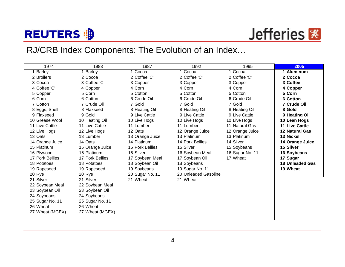# **REUTERS : B**

## RJ/CRB Index Components: The Evolution of an Index…

| 1974            | 1983            | 1987            | 1992                 | 1995            | 2005                   |
|-----------------|-----------------|-----------------|----------------------|-----------------|------------------------|
| <b>Barley</b>   | 1 Barley        | 1 Cocoa         | 1 Cocoa              | 1 Cocoa         | 1 Aluminum             |
| 2 Broilers      | 2 Cocoa         | 2 Coffee 'C'    | 2 Coffee 'C'         | 2 Coffee 'C'    | 2 Cocoa                |
| 3 Cocoa         | 3 Coffee 'C'    | 3 Copper        | 3 Copper             | 3 Copper        | 3 Coffee               |
| 4 Coffee 'C'    | 4 Copper        | 4 Corn          | 4 Corn               | 4 Corn          | 4 Copper               |
| 5 Copper        | 5 Corn          | 5 Cotton        | 5 Cotton             | 5 Cotton        | 5 Corn                 |
| 6 Corn          | 6 Cotton        | 6 Crude Oil     | 6 Crude Oil          | 6 Crude Oil     | 6 Cotton               |
| 7 Cotton        | 7 Crude Oil     | 7 Gold          | 7 Gold               | 7 Gold          | 7 Crude Oil            |
| 8 Eggs, Shell   | 8 Flaxseed      | 8 Heating Oil   | 8 Heating Oil        | 8 Heating Oil   | 8 Gold                 |
| 9 Flaxseed      | 9 Gold          | 9 Live Cattle   | 9 Live Cattle        | 9 Live Cattle   | 9 Heating Oil          |
| 10 Grease Wool  | 10 Heating Oil  | 10 Live Hogs    | 10 Live Hogs         | 10 Live Hogs    | 10 Lean Hogs           |
| 11 Live Cattle  | 11 Live Cattle  | 11 Lumber       | 11 Lumber            | 11 Natural Gas  | <b>11 Live Cattle</b>  |
| 12 Live Hogs    | 12 Live Hogs    | 12 Oats         | 12 Orange Juice      | 12 Orange Juice | <b>12 Natural Gas</b>  |
| 13 Oats         | 13 Lumber       | 13 Orange Juice | 13 Platinum          | 13 Platinum     | 13 Nickel              |
| 14 Orange Juice | 14 Oats         | 14 Platinum     | 14 Pork Bellies      | 14 Silver       | 14 Orange Juice        |
| 15 Platinum     | 15 Orange Juice | 15 Pork Bellies | 15 Silver            | 15 Soybeans     | 15 Silver              |
| 16 Plywood      | 16 Platinum     | 16 Silver       | 16 Soybean Meal      | 16 Sugar No. 11 | 16 Soybeans            |
| 17 Pork Bellies | 17 Pork Bellies | 17 Soybean Meal | 17 Soybean Oil       | 17 Wheat        | 17 Sugar               |
| 18 Potatoes     | 18 Potatoes     | 18 Soybean Oil  | 18 Soybeans          |                 | <b>18 Unleaded Gas</b> |
| 19 Rapeseed     | 19 Rapeseed     | 19 Soybeans     | 19 Sugar No. 11      |                 | 19 Wheat               |
| 20 Rye          | 20 Rye          | 20 Sugar No. 11 | 20 Unleaded Gasoline |                 |                        |
| 21 Silver       | 21 Silver       | 21 Wheat        | 21 Wheat             |                 |                        |
| 22 Soybean Meal | 22 Soybean Meal |                 |                      |                 |                        |
| 23 Soybean Oil  | 23 Soybean Oil  |                 |                      |                 |                        |
| 24 Soybeans     | 24 Soybeans     |                 |                      |                 |                        |
| 25 Sugar No. 11 | 25 Sugar No. 11 |                 |                      |                 |                        |
| 26 Wheat        | 26 Wheat        |                 |                      |                 |                        |
| 27 Wheat (MGEX) | 27 Wheat (MGEX) |                 |                      |                 |                        |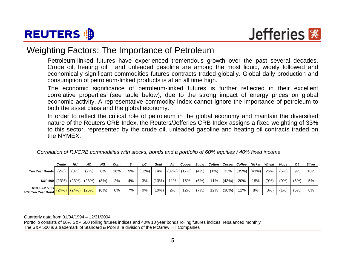



### Weighting Factors: The Importance of Petroleum

Petroleum-linked futures have experienced tremendous growth over the past several decades. Crude oil, heating oil, and unleaded gasoline are among the most liquid, widely followed and economically significant commodities futures contracts traded globally. Global daily production and consumption of petroleum-linked products is at an all time high.

The economic significance of petroleum-linked futures is further reflected in their excellent correlative properties (see table below), due to the strong impact of energy prices on global economic activity. A representative commodity Index cannot ignore the importance of petroleum to both the asset class and the global economy.

In order to reflect the critical role of petroleum in the global economy and maintain the diversified nature of the Reuters CRB Index, the Reuters/Jefferies CRB Index assigns a fixed weighting of 33% to this sector, represented by the crude oil, unleaded gasoline and heating oil contracts traded on the NYMEX.

| Correlation of RJ/CRB commodities with stocks, bonds and a portfolio of 60% equities / 40% fixed income |  |
|---------------------------------------------------------------------------------------------------------|--|
|                                                                                                         |  |

|                                                               | Crude | HU   | HО   | ΝG   | Corn |    | LC    | Gold  | Ali | Copper        | Sugar | Cotton Cocoa Coffee |       |                    | <b>Nickel</b> | Wheat | Hoas | ΟJ   | <b>Silver</b> |
|---------------------------------------------------------------|-------|------|------|------|------|----|-------|-------|-----|---------------|-------|---------------------|-------|--------------------|---------------|-------|------|------|---------------|
| <b>Ten Year Bonds</b>                                         | (2%)  | (0%) | (2%) | 8%   | 16%  | 9% | (12%) | ا 4%  |     | $(37%)$ (17%) | (4%)  | (1%)                |       | $33\%$ (35%) (43%) |               | 25%   | (5%) | 9%   | 10%           |
| <b>S&amp;P 500</b> (23%) (23%) (23%)                          |       |      |      | (8%) | 2%   | 4% | 3%    | (13%) | 11% | 15%           | (6%)  | $11\%$              | (43%) | 20%                | 18%           | (9%)  | (0%) | (6%) | 5%            |
| 60% S&P 500 / (24%) (24%) (25%) 40% Ten Year Bond (24%) (25%) |       |      |      | (6%) | 6%   | 7% | 0%    | (10%) | 2%  | 12%           | (7%)  | 12%                 | (38%) | 12%                | 8%            | (3%)  | (1%) | (5%) | 8%            |

Quarterly data from 01/04/1994 – 12/31/2004

The S&P 500 is a trademark of Standard & Poor's, a division of the McGraw Hill Companies Portfolio consists of 60% S&P 500 rolling futures indices and 40% 10 year bonds rolling futures indices, rebalanced monthly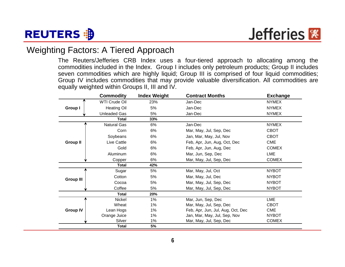

## Weighting Factors: A Tiered Approach

The Reuters/Jefferies CRB Index uses a four-tiered approach to allocating among the commodities included in the Index. Group I includes only petroleum products; Group II includes seven commodities which are highly liquid; Group III is comprised of four liquid commodities; Group IV includes commodities that may provide valuable diversification. All commodities are equally weighted within Groups II, III and IV.

|                  | <b>Commodity</b>     | <b>Index Weight</b> | <b>Contract Months</b>            | <b>Exchange</b> |
|------------------|----------------------|---------------------|-----------------------------------|-----------------|
|                  | <b>WTI Crude Oil</b> | 23%                 | Jan-Dec                           | <b>NYMEX</b>    |
| Group I          | <b>Heating Oil</b>   | 5%                  | Jan-Dec                           | <b>NYMEX</b>    |
|                  | <b>Unleaded Gas</b>  | 5%                  | Jan-Dec                           | <b>NYMEX</b>    |
|                  | <b>Total</b>         | 33%                 |                                   |                 |
|                  | <b>Natural Gas</b>   | 6%                  | Jan-Dec                           | <b>NYMEX</b>    |
|                  | Corn                 | 6%                  | Mar, May, Jul, Sep, Dec           | <b>CBOT</b>     |
|                  | Soybeans             | 6%                  | Jan, Mar, May, Jul, Nov           | <b>CBOT</b>     |
| <b>Group II</b>  | Live Cattle          | 6%                  | Feb, Apr, Jun, Aug, Oct, Dec      | <b>CME</b>      |
|                  | Gold                 | 6%                  | Feb, Apr, Jun, Aug, Dec           | <b>COMEX</b>    |
|                  | Aluminum             | 6%                  | Mar, Jun, Sep, Dec                | LME             |
|                  | Copper               | 6%                  | Mar, May, Jul, Sep, Dec           | <b>COMEX</b>    |
|                  | <b>Total</b>         | 42%                 |                                   |                 |
|                  | Sugar                | 5%                  | Mar, May, Jul, Oct                | <b>NYBOT</b>    |
|                  | Cotton               | 5%                  | Mar, May, Jul, Dec                | <b>NYBOT</b>    |
| <b>Group III</b> | Cocoa                | 5%                  | Mar, May, Jul, Sep, Dec           | <b>NYBOT</b>    |
|                  | Coffee               | 5%                  | Mar, May, Jul, Sep, Dec           | <b>NYBOT</b>    |
|                  | <b>Total</b>         | 20%                 |                                   |                 |
|                  | Nickel               | 1%                  | Mar, Jun, Sep, Dec                | LME             |
|                  | Wheat                | $1\%$               | Mar, May, Jul, Sep, Dec           | <b>CBOT</b>     |
| <b>Group IV</b>  | Lean Hogs            | 1%                  | Feb, Apr, Jun, Jul, Aug, Oct, Dec | <b>CME</b>      |
|                  | Orange Juice         | $1\%$               | Jan, Mar, May, Jul, Sep, Nov      | <b>NYBOT</b>    |
|                  | Silver               | 1%                  | Mar, May, Jul, Sep, Dec           | <b>COMEX</b>    |
|                  | <b>Total</b>         | 5%                  |                                   |                 |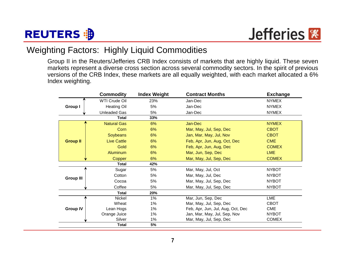



## Weighting Factors: Highly Liquid Commodities

Group II in the Reuters/Jefferies CRB Index consists of markets that are highly liquid. These seven markets represent a diverse cross section across several commodity sectors. In the spirit of previous versions of the CRB Index, these markets are all equally weighted, with each market allocated a 6% Index weighting.

|                  | <b>Commodity</b>    | <b>Index Weight</b> | <b>Contract Months</b>            | <b>Exchange</b> |
|------------------|---------------------|---------------------|-----------------------------------|-----------------|
|                  | WTI Crude Oil       | 23%                 | Jan-Dec                           | <b>NYMEX</b>    |
| Group I          | <b>Heating Oil</b>  | 5%                  | Jan-Dec                           | <b>NYMEX</b>    |
|                  | <b>Unleaded Gas</b> | 5%                  | Jan-Dec                           | <b>NYMEX</b>    |
|                  | <b>Total</b>        | 33%                 |                                   |                 |
|                  | <b>Natural Gas</b>  | 6%                  | Jan-Dec                           | <b>NYMEX</b>    |
|                  | Corn                | 6%                  | Mar, May, Jul, Sep, Dec           | <b>CBOT</b>     |
|                  | <b>Soybeans</b>     | 6%                  | Jan, Mar, May, Jul, Nov           | <b>CBOT</b>     |
| <b>Group II</b>  | <b>Live Cattle</b>  | 6%                  | Feb, Apr, Jun, Aug, Oct, Dec      | <b>CME</b>      |
|                  | Gold                | 6%                  | Feb, Apr, Jun, Aug, Dec           | <b>COMEX</b>    |
|                  | <b>Aluminum</b>     | 6%                  | Mar, Jun, Sep, Dec                | <b>LME</b>      |
|                  | Copper              | 6%                  | Mar, May, Jul, Sep, Dec           | <b>COMEX</b>    |
|                  | <b>Total</b>        | 42%                 |                                   |                 |
|                  | Sugar               | 5%                  | Mar, May, Jul, Oct                | <b>NYBOT</b>    |
| <b>Group III</b> | Cotton              | 5%                  | Mar, May, Jul, Dec                | <b>NYBOT</b>    |
|                  | Cocoa               | 5%                  | Mar, May, Jul, Sep, Dec           | <b>NYBOT</b>    |
|                  | Coffee              | 5%                  | Mar, May, Jul, Sep, Dec           | <b>NYBOT</b>    |
|                  | <b>Total</b>        | 20%                 |                                   |                 |
|                  | Nickel              | $1\%$               | Mar, Jun, Sep, Dec                | LME             |
|                  | Wheat               | $1\%$               | Mar, May, Jul, Sep, Dec           | <b>CBOT</b>     |
| <b>Group IV</b>  | Lean Hogs           | 1%                  | Feb, Apr, Jun, Jul, Aug, Oct, Dec | CME             |
|                  | Orange Juice        | 1%                  | Jan, Mar, May, Jul, Sep, Nov      | <b>NYBOT</b>    |
|                  | Silver              | 1%                  | Mar, May, Jul, Sep, Dec           | <b>COMEX</b>    |
|                  | <b>Total</b>        | 5%                  |                                   |                 |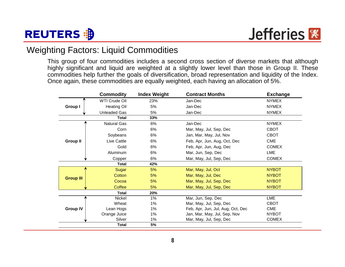

## Weighting Factors: Liquid Commodities

This group of four commodities includes a second cross section of diverse markets that although highly significant and liquid are weighted at a slightly lower level than those in Group II. These commodities help further the goals of diversification, broad representation and liquidity of the Index. Once again, these commodities are equally weighted, each having an allocation of 5%.

|                  | <b>Commodity</b>     | <b>Index Weight</b> | <b>Contract Months</b>            | <b>Exchange</b> |
|------------------|----------------------|---------------------|-----------------------------------|-----------------|
|                  | <b>WTI Crude Oil</b> | 23%                 | Jan-Dec                           | <b>NYMEX</b>    |
| Group I          | <b>Heating Oil</b>   | 5%                  | Jan-Dec                           | <b>NYMEX</b>    |
|                  | <b>Unleaded Gas</b>  | 5%                  | Jan-Dec                           | <b>NYMEX</b>    |
|                  | <b>Total</b>         | 33%                 |                                   |                 |
|                  | <b>Natural Gas</b>   | 6%                  | Jan-Dec                           | <b>NYMEX</b>    |
|                  | Corn                 | 6%                  | Mar, May, Jul, Sep, Dec           | <b>CBOT</b>     |
|                  | Soybeans             | 6%                  | Jan, Mar, May, Jul, Nov           | CBOT            |
| <b>Group II</b>  | Live Cattle          | 6%                  | Feb, Apr, Jun, Aug, Oct, Dec      | <b>CME</b>      |
|                  | Gold                 | 6%                  | Feb, Apr, Jun, Aug, Dec           | <b>COMEX</b>    |
|                  | Aluminum             | 6%                  | Mar, Jun, Sep, Dec                | LME             |
|                  | Copper               | 6%                  | Mar, May, Jul, Sep, Dec           | <b>COMEX</b>    |
|                  | <b>Total</b>         | 42%                 |                                   |                 |
|                  | Sugar                | 5%                  | Mar, May, Jul, Oct                | <b>NYBOT</b>    |
|                  | Cotton               | 5%                  | Mar, May, Jul, Dec                | <b>NYBOT</b>    |
| <b>Group III</b> | Cocoa                | 5%                  | Mar, May, Jul, Sep, Dec           | <b>NYBOT</b>    |
|                  | Coffee               | 5%                  | Mar, May, Jul, Sep, Dec           | <b>NYBOT</b>    |
|                  | <b>Total</b>         | 20%                 |                                   |                 |
|                  | Nickel               | $1\%$               | Mar, Jun, Sep, Dec                | <b>LME</b>      |
|                  | Wheat                | 1%                  | Mar, May, Jul, Sep, Dec           | <b>CBOT</b>     |
| <b>Group IV</b>  | Lean Hogs            | 1%                  | Feb, Apr, Jun, Jul, Aug, Oct, Dec | <b>CME</b>      |
|                  | Orange Juice         | 1%                  | Jan, Mar, May, Jul, Sep, Nov      | <b>NYBOT</b>    |
|                  | Silver               | 1%                  | Mar, May, Jul, Sep, Dec           | <b>COMEX</b>    |
|                  | <b>Total</b>         | 5%                  |                                   |                 |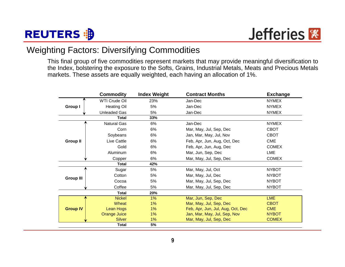

## Weighting Factors: Diversifying Commodities

This final group of five commodities represent markets that may provide meaningful diversification to the Index, bolstering the exposure to the Softs, Grains, Industrial Metals, Meats and Precious Metals markets. These assets are equally weighted, each having an allocation of 1%.

|                  | <b>Commodity</b>    | <b>Index Weight</b> | <b>Contract Months</b>            | <b>Exchange</b> |
|------------------|---------------------|---------------------|-----------------------------------|-----------------|
|                  | WTI Crude Oil       | 23%                 | Jan-Dec                           | <b>NYMEX</b>    |
| Group I          | <b>Heating Oil</b>  | 5%                  | Jan-Dec                           | <b>NYMEX</b>    |
|                  | <b>Unleaded Gas</b> | 5%                  | Jan-Dec                           | <b>NYMEX</b>    |
|                  | <b>Total</b>        | 33%                 |                                   |                 |
|                  | <b>Natural Gas</b>  | 6%                  | Jan-Dec                           | <b>NYMEX</b>    |
|                  | Corn                | 6%                  | Mar, May, Jul, Sep, Dec           | <b>CBOT</b>     |
|                  | Soybeans            | 6%                  | Jan, Mar, May, Jul, Nov           | <b>CBOT</b>     |
| <b>Group II</b>  | Live Cattle         | 6%                  | Feb, Apr, Jun, Aug, Oct, Dec      | <b>CME</b>      |
|                  | Gold                | 6%                  | Feb, Apr, Jun, Aug, Dec           | <b>COMEX</b>    |
|                  | Aluminum            | 6%                  | Mar, Jun, Sep, Dec                | LME             |
|                  | Copper              | 6%                  | Mar, May, Jul, Sep, Dec           | <b>COMEX</b>    |
|                  | <b>Total</b>        | 42%                 |                                   |                 |
|                  | Sugar               | 5%                  | Mar, May, Jul, Oct                | <b>NYBOT</b>    |
| <b>Group III</b> | Cotton              | 5%                  | Mar, May, Jul, Dec                | <b>NYBOT</b>    |
|                  | Cocoa               | 5%                  | Mar, May, Jul, Sep, Dec           | <b>NYBOT</b>    |
|                  | Coffee              | 5%                  | Mar, May, Jul, Sep, Dec           | <b>NYBOT</b>    |
|                  | <b>Total</b>        | 20%                 |                                   |                 |
|                  | <b>Nickel</b>       | 1%                  | Mar, Jun, Sep, Dec                | <b>LME</b>      |
|                  | Wheat               | $1\%$               | Mar, May, Jul, Sep, Dec           | <b>CBOT</b>     |
| <b>Group IV</b>  | Lean Hogs           | 1%                  | Feb, Apr, Jun, Jul, Aug, Oct, Dec | <b>CME</b>      |
|                  | <b>Orange Juice</b> | 1%                  | Jan, Mar, May, Jul, Sep, Nov      | <b>NYBOT</b>    |
|                  | <b>Silver</b>       | $1\%$               | Mar, May, Jul, Sep, Dec           | <b>COMEX</b>    |
|                  | <b>Total</b>        | 5%                  |                                   |                 |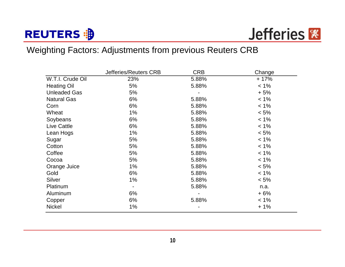# **REUTERS : B**



## Weighting Factors: Adjustments from previous Reuters CRB

|                     | Jefferies/Reuters CRB | <b>CRB</b> | Change  |
|---------------------|-----------------------|------------|---------|
| W.T.I. Crude Oil    | 23%                   | 5.88%      | $+17%$  |
| <b>Heating Oil</b>  | 5%                    | 5.88%      | $< 1\%$ |
| <b>Unleaded Gas</b> | 5%                    |            | $+5%$   |
| <b>Natural Gas</b>  | 6%                    | 5.88%      | $< 1\%$ |
| Corn                | 6%                    | 5.88%      | $< 1\%$ |
| Wheat               | $1\%$                 | 5.88%      | $< 5\%$ |
| Soybeans            | 6%                    | 5.88%      | $< 1\%$ |
| <b>Live Cattle</b>  | 6%                    | 5.88%      | $< 1\%$ |
| Lean Hogs           | $1\%$                 | 5.88%      | $< 5\%$ |
| Sugar               | 5%                    | 5.88%      | $< 1\%$ |
| Cotton              | 5%                    | 5.88%      | $< 1\%$ |
| Coffee              | 5%                    | 5.88%      | $< 1\%$ |
| Cocoa               | 5%                    | 5.88%      | $< 1\%$ |
| Orange Juice        | $1\%$                 | 5.88%      | $< 5\%$ |
| Gold                | 6%                    | 5.88%      | $< 1\%$ |
| Silver              | 1%                    | 5.88%      | $< 5\%$ |
| Platinum            | $\blacksquare$        | 5.88%      | n.a.    |
| Aluminum            | 6%                    |            | $+6%$   |
| Copper              | 6%                    | 5.88%      | $< 1\%$ |
| <b>Nickel</b>       | $1\%$                 |            | $+1%$   |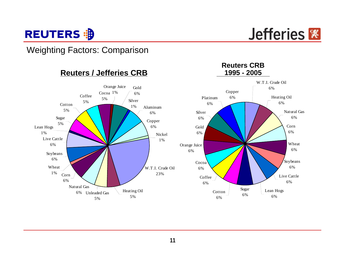

## Weighting Factors: Comparison

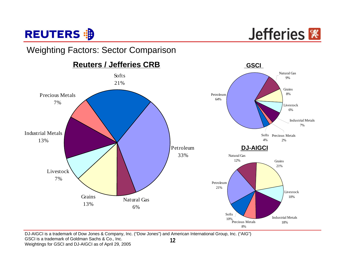

## Weighting Factors: Sector Comparison



**12**DJ-AIGCI is a trademark of Dow Jones & Company, Inc. ("Dow Jones") and American International Group, Inc. ("AIG") GSCI is a trademark of Goldman Sachs & Co., Inc. Weightings for GSCI and DJ-AIGCI as of April 29, 2005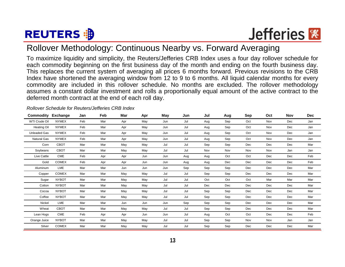# **REUTERS 部**



## Rollover Methodology: Continuous Nearby vs. Forward Averaging

To maximize liquidity and simplicity, the Reuters/Jefferies CRB Index uses a four day rollover schedule for each commodity beginning on the first business day of the month and ending on the fourth business day. This replaces the current system of averaging all prices 6 months forward. Previous revisions to the CRB Index have shortened the averaging window from 12 to 9 to 6 months. All liquid calendar months for every commodity are included in this rollover schedule. No months are excluded. The rollover methodology assumes a constant dollar investment and rolls a proportionally equal amount of the active contract to the deferred month contract at the end of each roll day.

| Commodity           | Exchange     | Jan | Feb | Mar | Apr | May | Jun | Jul | Aug | Sep | Oct | Nov | <b>Dec</b> |
|---------------------|--------------|-----|-----|-----|-----|-----|-----|-----|-----|-----|-----|-----|------------|
| WTI Crude Oil       | <b>NYMEX</b> | Feb | Mar | Apr | May | Jun | Jul | Aug | Sep | Oct | Nov | Dec | Jan        |
| <b>Heating Oil</b>  | <b>NYMEX</b> | Feb | Mar | Apr | May | Jun | Jul | Aug | Sep | Oct | Nov | Dec | Jan        |
| <b>Unleaded Gas</b> | <b>NYMEX</b> | Feb | Mar | Apr | May | Jun | Jul | Aug | Sep | Oct | Nov | Dec | Jan        |
| <b>Natural Gas</b>  | <b>NYMEX</b> | Feb | Mar | Apr | May | Jun | Jul | Aug | Sep | Oct | Nov | Dec | Jan        |
| Corn                | <b>CBOT</b>  | Mar | Mar | May | May | Jul | Jul | Sep | Sep | Dec | Dec | Dec | Mar        |
| Soybeans            | CBOT         | Mar | Mar | May | May | Jul | Jul | Nov | Nov | Nov | Nov | Jan | Jan        |
| Live Cattle         | <b>CME</b>   | Feb | Apr | Apr | Jun | Jun | Aug | Aug | Oct | Oct | Dec | Dec | Feb        |
| Gold                | <b>COMEX</b> | Feb | Apr | Apr | Jun | Jun | Aug | Aug | Dec | Dec | Dec | Dec | Feb        |
| Aluminum            | LME          | Mar | Mar | Jun | Jun | Jun | Sep | Sep | Sep | Dec | Dec | Dec | Mar        |
| Copper              | <b>COMEX</b> | Mar | Mar | May | May | Jul | Jul | Sep | Sep | Dec | Dec | Dec | Mar        |
| Sugar               | <b>NYBOT</b> | Mar | Mar | May | May | Jul | Jul | Oct | Oct | Oct | Mar | Mar | Mar        |
| Cotton              | <b>NYBOT</b> | Mar | Mar | May | May | Jul | Jul | Dec | Dec | Dec | Dec | Dec | Mar        |
| Cocoa               | <b>NYBOT</b> | Mar | Mar | May | May | Jul | Jul | Sep | Sep | Dec | Dec | Dec | Mar        |
| Coffee              | <b>NYBOT</b> | Mar | Mar | May | May | Jul | Jul | Sep | Sep | Dec | Dec | Dec | Mar        |
| Nickel              | LME          | Mar | Mar | Jun | Jun | Jun | Sep | Sep | Sep | Dec | Dec | Dec | Mar        |
| Wheat               | CBOT         | Mar | Mar | May | May | Jul | Jul | Sep | Sep | Dec | Dec | Dec | Mar        |
| Lean Hogs           | <b>CME</b>   | Feb | Apr | Apr | Jun | Jun | Jul | Aug | Oct | Oct | Dec | Dec | Feb        |
| Orange Juice        | <b>NYBOT</b> | Mar | Mar | May | May | Jul | Jul | Sep | Sep | Nov | Nov | Jan | Jan        |
| Silver              | <b>COMEX</b> | Mar | Mar | May | May | Jul | Jul | Sep | Sep | Dec | Dec | Dec | Mar        |

#### *Rollover Schedule for Reuters/Jefferies CRB Index*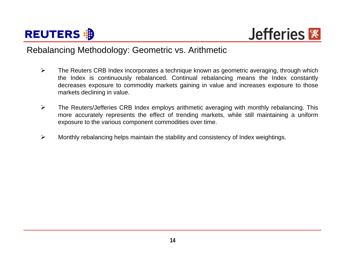



## Rebalancing Methodology: Geometric vs. Arithmetic

- $\blacktriangleright$  The Reuters CRB Index incorporates a technique known as geometric averaging, through which the Index is continuously rebalanced. Continual rebalancing means the Index constantly decreases exposure to commodity markets gaining in value and increases exposure to those markets declining in value.
- $\blacktriangleright$  The Reuters/Jefferies CRB Index employs arithmetic averaging with monthly rebalancing. This more accurately represents the effect of trending markets, while still maintaining a uniform exposure to the various component commodities over time.
- $\blacktriangleright$ Monthly rebalancing helps maintain the stability and consistency of Index weightings.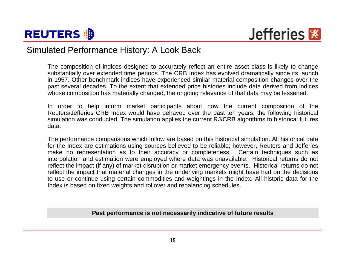



## Simulated Performance History: A Look Back

The composition of indices designed to accurately reflect an entire asset class is likely to change substantially over extended time periods. The CRB Index has evolved dramatically since its launch in 1957. Other benchmark indices have experienced similar material composition changes over the past several decades. To the extent that extended price histories include data derived from indices whose composition has materially changed, the ongoing relevance of that data may be lessened.

In order to help inform market participants about how the current composition of the Reuters/Jefferies CRB Index would have behaved over the past ten years, the following historical simulation was conducted. The simulation applies the current RJ/CRB algorithms to historical futures data.

The performance comparisons which follow are based on this historical simulation. All historical data for the Index are estimations using sources believed to be reliable; however, Reuters and Jefferies make no representation as to their accuracy or completeness. Certain techniques such as interpolation and estimation were employed where data was unavailable. Historical returns do not reflect the impact (if any) of market disruption or market emergency events. Historical returns do not reflect the impact that material changes in the underlying markets might have had on the decisions to use or continue using certain commodities and weightings in the Index. All historic data for the Index is based on fixed weights and rollover and rebalancing schedules.

#### **Past performance is not necessarily indicative of future results**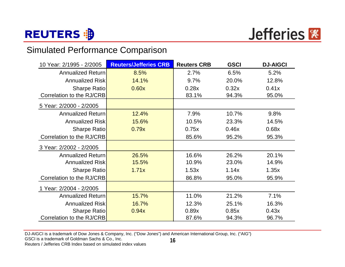

## Simulated Performance Comparison

| 10 Year: 2/1995 - 2/2005  | <b>Reuters/Jefferies CRB</b> | <b>Reuters CRB</b> | <b>GSCI</b> | <b>DJ-AIGCI</b> |
|---------------------------|------------------------------|--------------------|-------------|-----------------|
| Annualized Return         | 8.5%                         | 2.7%               | 6.5%        | 5.2%            |
| <b>Annualized Risk</b>    | 14.1%                        | 9.7%               | 20.0%       | 12.8%           |
| Sharpe Ratio              | 0.60x                        | 0.28x              | 0.32x       | 0.41x           |
| Correlation to the RJ/CRB |                              | 83.1%              | 94.3%       | 95.0%           |
| 5 Year: 2/2000 - 2/2005   |                              |                    |             |                 |
| <b>Annualized Return</b>  | 12.4%                        | 7.9%               | 10.7%       | 9.8%            |
| <b>Annualized Risk</b>    | 15.6%                        | 10.5%              | 23.3%       | 14.5%           |
| Sharpe Ratio              | 0.79x                        | 0.75x              | 0.46x       | 0.68x           |
| Correlation to the RJ/CRB |                              | 85.6%              | 95.2%       | 95.3%           |
| 3 Year: 2/2002 - 2/2005   |                              |                    |             |                 |
| Annualized Return         | 26.5%                        | 16.6%              | 26.2%       | 20.1%           |
| <b>Annualized Risk</b>    | 15.5%                        | 10.9%              | 23.0%       | 14.9%           |
| Sharpe Ratio              | 1.71x                        | 1.53x              | 1.14x       | 1.35x           |
| Correlation to the RJ/CRB |                              | 86.8%              | 95.0%       | 95.9%           |
| 1 Year: 2/2004 - 2/2005   |                              |                    |             |                 |
| Annualized Return         | 15.7%                        | 11.0%              | 21.2%       | 7.1%            |
| <b>Annualized Risk</b>    | 16.7%                        | 12.3%              | 25.1%       | 16.3%           |
| Sharpe Ratio              | 0.94x                        | 0.89x              | 0.85x       | 0.43x           |
| Correlation to the RJ/CRB |                              | 87.6%              | 94.3%       | 96.7%           |

**16**DJ-AIGCI is a trademark of Dow Jones & Company, Inc. ("Dow Jones") and American International Group, Inc. ("AIG") GSCI is a trademark of Goldman Sachs & Co., Inc. Reuters / Jefferies CRB Index based on simulated index values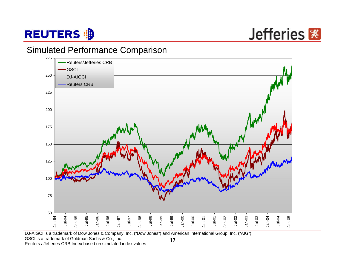

Jefferies **※** 

## Simulated Performance Comparison



**17**DJ-AIGCI is a trademark of Dow Jones & Company, Inc. ("Dow Jones") and American International Group, Inc. ("AIG") GSCI is a trademark of Goldman Sachs & Co., Inc. Reuters / Jefferies CRB Index based on simulated index values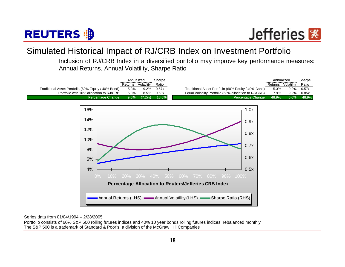

## Simulated Historical Impact of RJ/CRB Index on Investment Portfolio

Inclusion of RJ/CRB Index in a diversified portfolio may improve key performance measures: Annual Returns, Annual Volatility, Sharpe Ratio



Series data from 01/04/1994 – 2/28/2005

The S&P 500 is a trademark of Standard & Poor's, a division of the McGraw Hill Companies Portfolio consists of 60% S&P 500 rolling futures indices and 40% 10 year bonds rolling futures indices, rebalanced monthly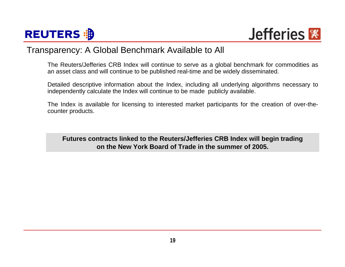



## Transparency: A Global Benchmark Available to All

The Reuters/Jefferies CRB Index will continue to serve as a global benchmark for commodities as an asset class and will continue to be published real-time and be widely disseminated.

Detailed descriptive information about the Index, including all underlying algorithms necessary to independently calculate the Index will continue to be made publicly available.

The Index is available for licensing to interested market participants for the creation of over-thecounter products.

**Futures contracts linked to the Reuters/Jefferies CRB Index will begin trading on the New York Board of Trade in the summer of 2005.**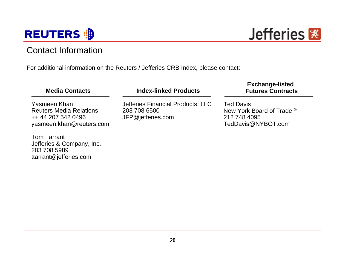

## Contact Information

For additional information on the Reuters / Jefferies CRB Index, please contact:

| <b>Media Contacts</b>                                                                            | <b>Index-linked Products</b>                                           | <b>Exchange-listed</b><br><b>Futures Contracts</b>                                  |
|--------------------------------------------------------------------------------------------------|------------------------------------------------------------------------|-------------------------------------------------------------------------------------|
| Yasmeen Khan<br><b>Reuters Media Relations</b><br>++ 44 207 542 0496<br>yasmeen.khan@reuters.com | Jefferies Financial Products, LLC<br>203 708 6500<br>JFP@jefferies.com | <b>Ted Davis</b><br>New York Board of Trade ®<br>212 748 4095<br>TedDavis@NYBOT.com |
| <b>Tom Tarrant</b><br>Jefferies & Company, Inc.<br>203 708 5989<br>ttarrant@jefferies.com        |                                                                        |                                                                                     |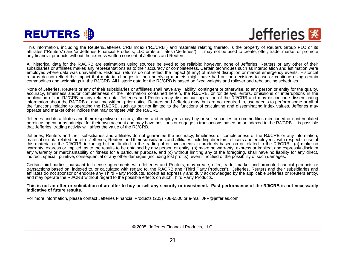# **REUTERS 部**

Jefferies<sup></sup>

This information, including the Reuters/Jefferies CRB Index ("RJ/CRB") and materials relating thereto, is the property of Reuters Group PLC or its affiliates ("Reuters") and/or Jefferies Financial Products, LLC or its affiliates ("Jefferies"). It may not be used to create, offer, trade, market or promote any financial products without the express written consent of Jefferies and Reuters.

All historical data for the RJ/CRB are estimations using sources believed to be reliable; however, none of Jefferies, Reuters or any other of their subsidiaries or affiliates makes any representations as to their accuracy or completeness. Certain techniques such as interpolation and estimation were employed where data was unavailable. Historical returns do not reflect the impact (if any) of market disruption or market emergency events. Historical returns do not reflect the impact that material changes in the underlying markets might have had on the decisions to use or continue using certain commodities and weightings in the RJ/CRB. All historic data for the RJ/CRB is based on fixed weights and rollover and rebalancing schedules.

None of Jefferies, Reuters or any of their subsidiaries or affiliates shall have any liability, contingent or otherwise, to any person or entity for the quality, accuracy, timeliness and/or completeness of the information contained herein, the RJ/CRB, or for delays, errors, omissions or interruptions in the publication of the RJ/CRB or any related data. Jefferies and Reuters may discontinue operation of the RJ/CRB and may discontinue disseminating information about the RJ/CRB at any time without prior notice. Reuters and Jefferies may, but are not required to, use agents to perform some or all of the functions relating to operating the RJ/CRB, such as but not limited to the functions of calculating and disseminating index values. Jefferies may operate and market other indices that may compete with the RJ/CRB.

Jefferies and its affiliates and their respective directors, officers and employees may buy or sell securities or commodities mentioned or contemplated herein as agent or as principal for their own account and may have positions or engage in transactions based on or indexed to the RJ/CRB. It is possible that Jefferies' trading activity will affect the value of the RJ/CRB.

Jefferies, Reuters and their subsidiaries and affiliates do not guarantee the accuracy, timeliness or completeness of the RJ/CRB or any information, material or data related thereto. Jefferies, Reuters and their subsidiaries and affiliates including directors, officers and employees, with respect to use of this material or the RJ/CRB, including but not limited to the trading of or investments in products based on or related to the RJ/CRB, (a) make no warranty, express or implied, as to the results to be obtained by any person or entity, (b) make no warranty, express or implied, and expressly disclaim any warranty or merchantability or fitness for a particular purpose, and (c) without limiting any of the foregoing, shall have no liability for any direct, indirect, special, punitive, consequential or any other damages (including lost profits), even if notified of the possibility of such damages.

Certain third parties, pursuant to license agreements with Jefferies and Reuters, may create, offer, trade, market and promote financial products or transactions based on, indexed to, or calculated with regard to, the RJ/CRB (the "Third Party Products"). Jefferies, Reuters and their subsidiaries and affiliates do not sponsor or endorse any Third Party Products, except as expressly and duly acknowledged by the applicable Jefferies or Reuters entity, and may operate the RJ/CRB without regard to the possible effects on such Third Party Products.

**This is not an offer or solicitation of an offer to buy or sell any security or investment. Past performance of the RJ/CRB is not necessarily indicative of future results.**

For more information, please contact Jefferies Financial Products (203) 708-6500 or e-mail JFP@jefferies.com

© 2005, Jefferies Financial Products, LLC